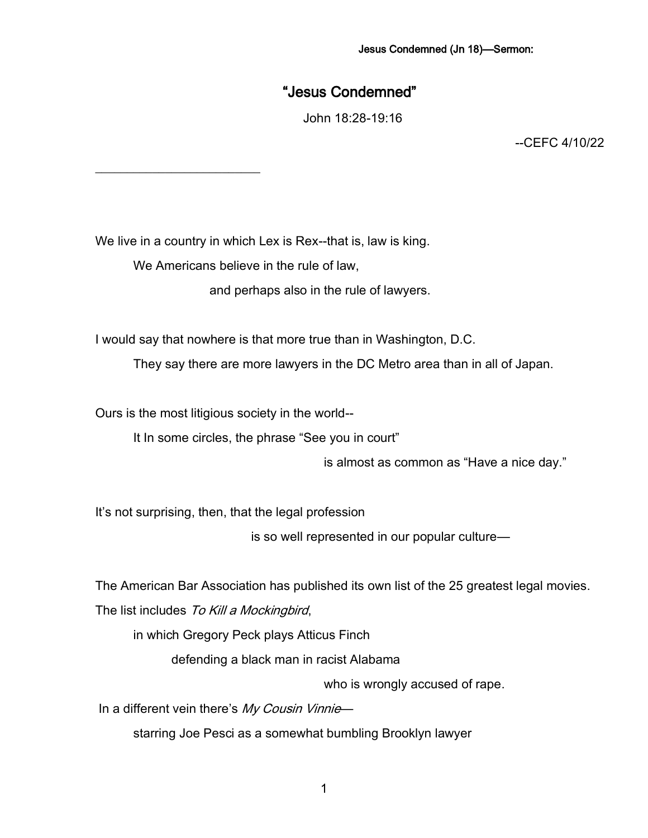# "Jesus Condemned"

John 18:28-19:16

--CEFC 4/10/22

We live in a country in which Lex is Rex--that is, law is king.

We Americans believe in the rule of law,

\_\_\_\_\_\_\_\_\_\_\_\_\_\_\_\_\_\_\_\_\_\_\_\_\_\_

and perhaps also in the rule of lawyers.

I would say that nowhere is that more true than in Washington, D.C.

They say there are more lawyers in the DC Metro area than in all of Japan.

Ours is the most litigious society in the world--

It In some circles, the phrase "See you in court"

is almost as common as "Have a nice day."

It's not surprising, then, that the legal profession

is so well represented in our popular culture—

The American Bar Association has published its own list of the 25 greatest legal movies.

The list includes To Kill a Mockingbird,

in which Gregory Peck plays Atticus Finch

defending a black man in racist Alabama

who is wrongly accused of rape.

In a different vein there's My Cousin Vinnie-

starring Joe Pesci as a somewhat bumbling Brooklyn lawyer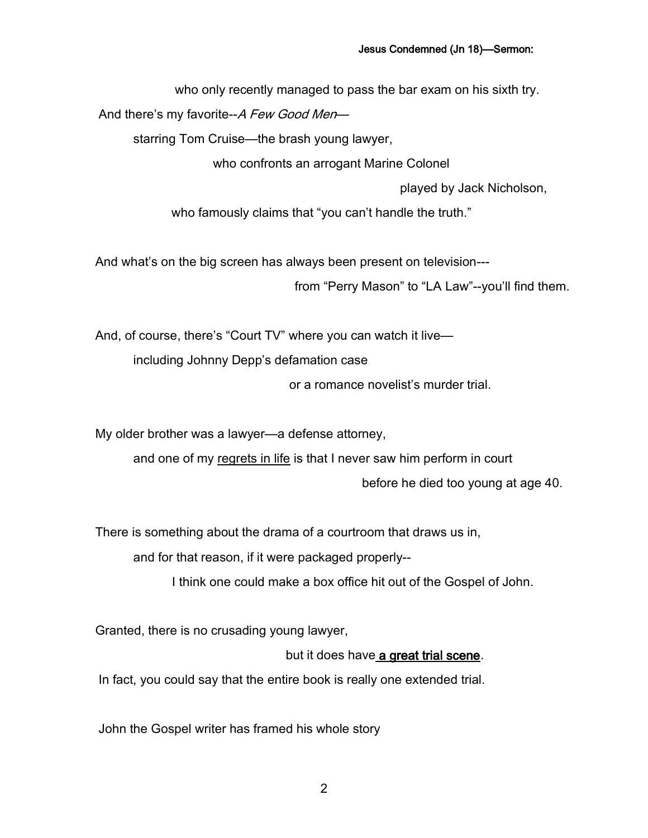who only recently managed to pass the bar exam on his sixth try.

And there's my favorite--A Few Good Men-

starring Tom Cruise—the brash young lawyer,

who confronts an arrogant Marine Colonel

played by Jack Nicholson,

who famously claims that "you can't handle the truth."

And what's on the big screen has always been present on television---

from "Perry Mason" to "LA Law"--you'll find them.

And, of course, there's "Court TV" where you can watch it live—

including Johnny Depp's defamation case

or a romance novelist's murder trial.

My older brother was a lawyer—a defense attorney,

and one of my regrets in life is that I never saw him perform in court

before he died too young at age 40.

There is something about the drama of a courtroom that draws us in,

and for that reason, if it were packaged properly--

I think one could make a box office hit out of the Gospel of John.

Granted, there is no crusading young lawyer,

but it does have a great trial scene.

In fact, you could say that the entire book is really one extended trial.

John the Gospel writer has framed his whole story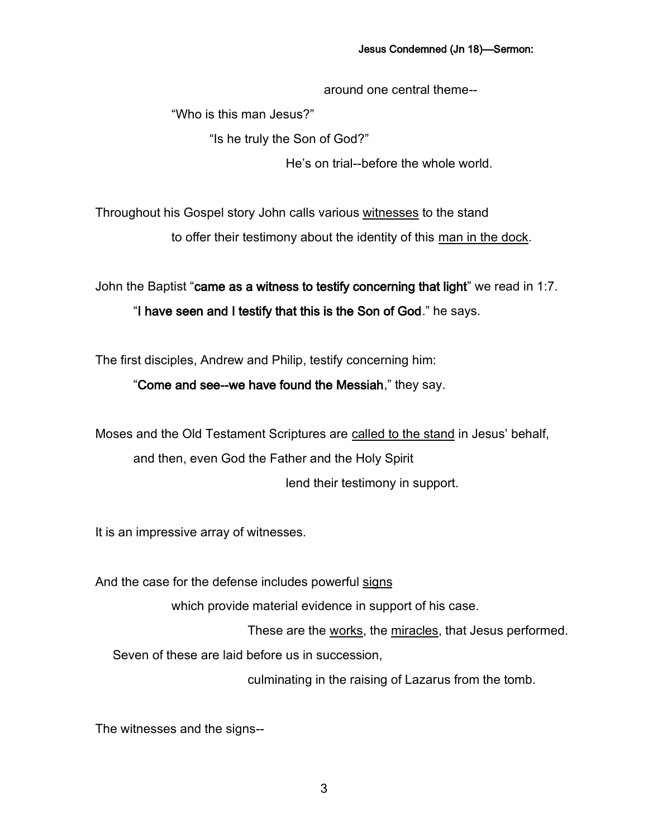around one central theme--

"Who is this man Jesus?"

"Is he truly the Son of God?"

He's on trial--before the whole world.

Throughout his Gospel story John calls various witnesses to the stand to offer their testimony about the identity of this man in the dock.

John the Baptist "came as a witness to testify concerning that light" we read in 1:7. "I have seen and I testify that this is the Son of God." he says.

The first disciples, Andrew and Philip, testify concerning him:

#### "Come and see--we have found the Messiah," they say.

Moses and the Old Testament Scriptures are called to the stand in Jesus' behalf, and then, even God the Father and the Holy Spirit lend their testimony in support.

It is an impressive array of witnesses.

And the case for the defense includes powerful signs

which provide material evidence in support of his case.

These are the works, the miracles, that Jesus performed. Seven of these are laid before us in succession,

culminating in the raising of Lazarus from the tomb.

The witnesses and the signs--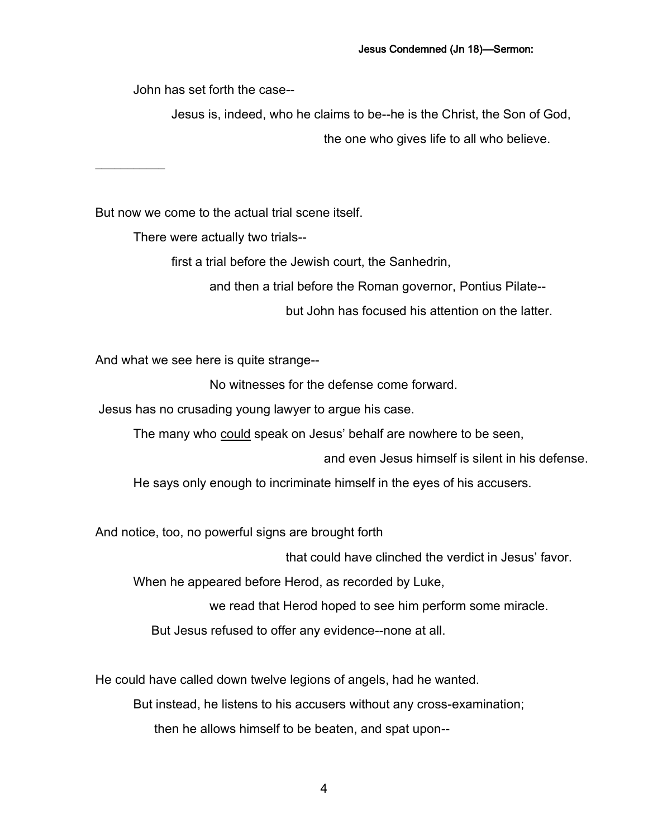John has set forth the case--

 $\frac{1}{2}$ 

Jesus is, indeed, who he claims to be--he is the Christ, the Son of God, the one who gives life to all who believe.

But now we come to the actual trial scene itself.

There were actually two trials--

first a trial before the Jewish court, the Sanhedrin,

and then a trial before the Roman governor, Pontius Pilate--

but John has focused his attention on the latter.

And what we see here is quite strange--

No witnesses for the defense come forward.

Jesus has no crusading young lawyer to argue his case.

The many who could speak on Jesus' behalf are nowhere to be seen,

and even Jesus himself is silent in his defense.

He says only enough to incriminate himself in the eyes of his accusers.

And notice, too, no powerful signs are brought forth

that could have clinched the verdict in Jesus' favor.

When he appeared before Herod, as recorded by Luke,

we read that Herod hoped to see him perform some miracle.

But Jesus refused to offer any evidence--none at all.

He could have called down twelve legions of angels, had he wanted.

But instead, he listens to his accusers without any cross-examination;

then he allows himself to be beaten, and spat upon--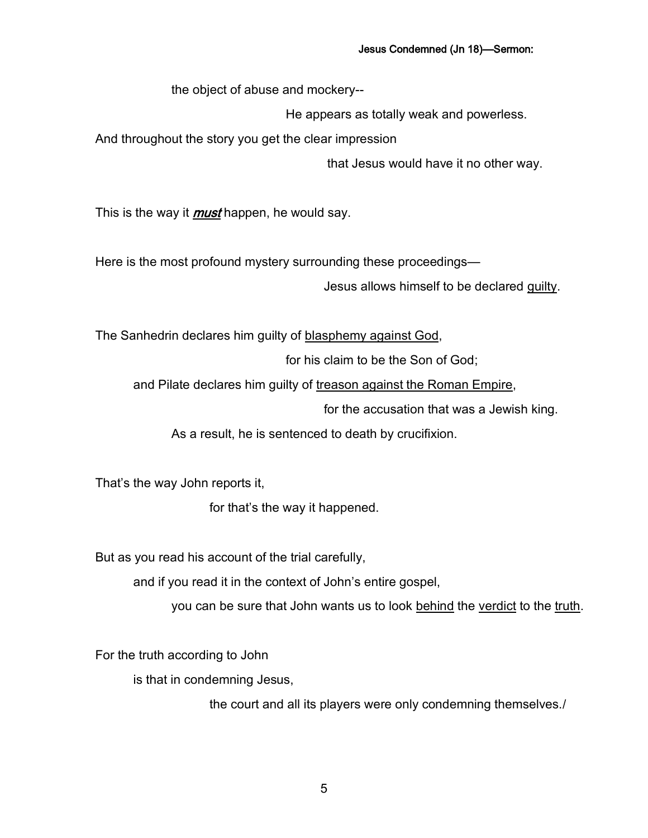the object of abuse and mockery--

He appears as totally weak and powerless.

And throughout the story you get the clear impression

that Jesus would have it no other way.

This is the way it *must* happen, he would say.

Here is the most profound mystery surrounding these proceedings—

Jesus allows himself to be declared guilty.

The Sanhedrin declares him guilty of blasphemy against God,

for his claim to be the Son of God;

and Pilate declares him guilty of treason against the Roman Empire,

for the accusation that was a Jewish king.

As a result, he is sentenced to death by crucifixion.

That's the way John reports it,

for that's the way it happened.

But as you read his account of the trial carefully,

and if you read it in the context of John's entire gospel,

you can be sure that John wants us to look behind the verdict to the truth.

For the truth according to John

is that in condemning Jesus,

the court and all its players were only condemning themselves./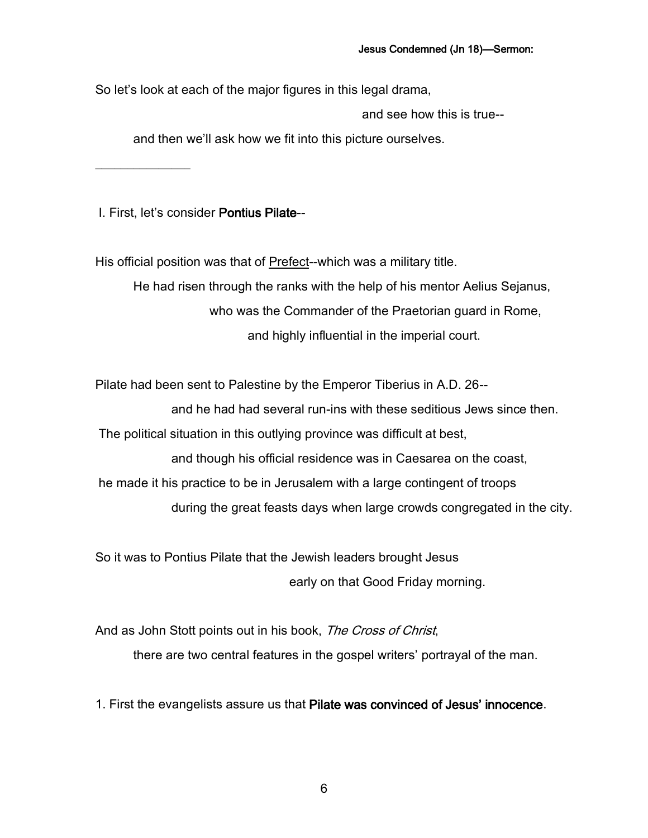So let's look at each of the major figures in this legal drama,

and see how this is true--

and then we'll ask how we fit into this picture ourselves.

I. First, let's consider Pontius Pilate--

 $\overline{\phantom{a}}$  , where  $\overline{\phantom{a}}$ 

His official position was that of Prefect--which was a military title.

He had risen through the ranks with the help of his mentor Aelius Sejanus, who was the Commander of the Praetorian guard in Rome, and highly influential in the imperial court.

Pilate had been sent to Palestine by the Emperor Tiberius in A.D. 26--

and he had had several run-ins with these seditious Jews since then.

The political situation in this outlying province was difficult at best,

and though his official residence was in Caesarea on the coast,

he made it his practice to be in Jerusalem with a large contingent of troops

during the great feasts days when large crowds congregated in the city.

So it was to Pontius Pilate that the Jewish leaders brought Jesus early on that Good Friday morning.

And as John Stott points out in his book, The Cross of Christ, there are two central features in the gospel writers' portrayal of the man.

1. First the evangelists assure us that Pilate was convinced of Jesus' innocence.

6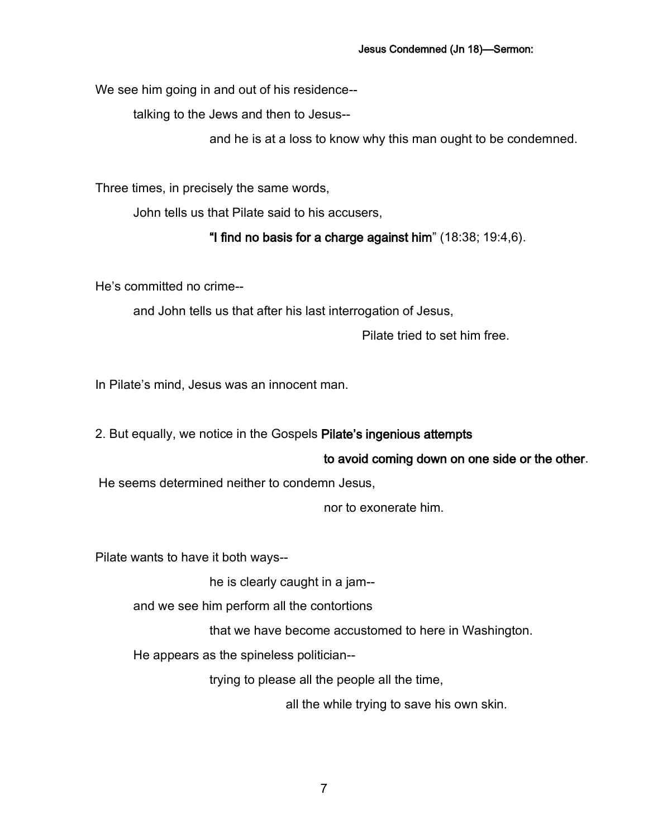We see him going in and out of his residence--

talking to the Jews and then to Jesus--

and he is at a loss to know why this man ought to be condemned.

Three times, in precisely the same words,

John tells us that Pilate said to his accusers,

### "I find no basis for a charge against him" (18:38; 19:4,6).

He's committed no crime--

and John tells us that after his last interrogation of Jesus,

Pilate tried to set him free.

In Pilate's mind, Jesus was an innocent man.

2. But equally, we notice in the Gospels Pilate's ingenious attempts

#### to avoid coming down on one side or the other.

He seems determined neither to condemn Jesus,

nor to exonerate him.

Pilate wants to have it both ways--

he is clearly caught in a jam--

and we see him perform all the contortions

that we have become accustomed to here in Washington.

He appears as the spineless politician--

trying to please all the people all the time,

all the while trying to save his own skin.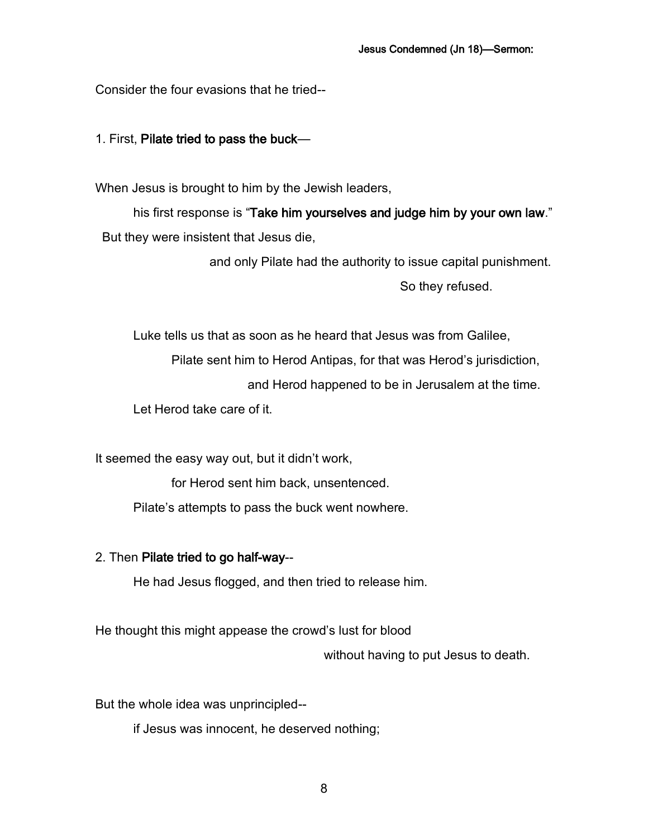Consider the four evasions that he tried--

1. First, Pilate tried to pass the buck—

When Jesus is brought to him by the Jewish leaders,

his first response is "Take him yourselves and judge him by your own law." But they were insistent that Jesus die,

and only Pilate had the authority to issue capital punishment.

So they refused.

Luke tells us that as soon as he heard that Jesus was from Galilee, Pilate sent him to Herod Antipas, for that was Herod's jurisdiction, and Herod happened to be in Jerusalem at the time. Let Herod take care of it.

It seemed the easy way out, but it didn't work,

for Herod sent him back, unsentenced.

Pilate's attempts to pass the buck went nowhere.

#### 2. Then Pilate tried to go half-way--

He had Jesus flogged, and then tried to release him.

He thought this might appease the crowd's lust for blood

without having to put Jesus to death.

But the whole idea was unprincipled--

if Jesus was innocent, he deserved nothing;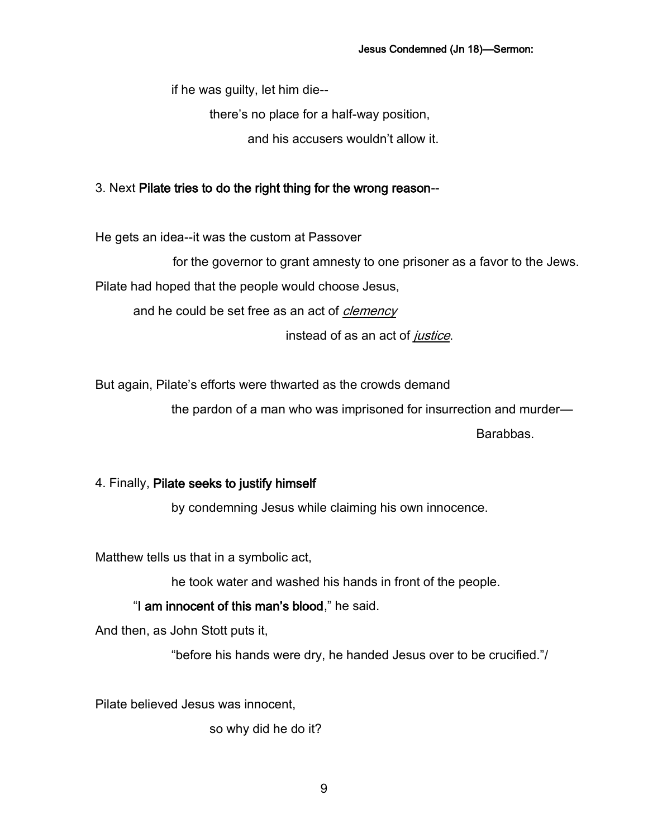if he was guilty, let him die--

there's no place for a half-way position,

and his accusers wouldn't allow it.

### 3. Next Pilate tries to do the right thing for the wrong reason--

He gets an idea--it was the custom at Passover

for the governor to grant amnesty to one prisoner as a favor to the Jews.

Pilate had hoped that the people would choose Jesus,

and he could be set free as an act of *clemency* 

instead of as an act of *justice*.

But again, Pilate's efforts were thwarted as the crowds demand

the pardon of a man who was imprisoned for insurrection and murder—

Barabbas.

### 4. Finally, Pilate seeks to justify himself

by condemning Jesus while claiming his own innocence.

Matthew tells us that in a symbolic act,

he took water and washed his hands in front of the people.

### "I am innocent of this man's blood," he said.

And then, as John Stott puts it,

"before his hands were dry, he handed Jesus over to be crucified."/

Pilate believed Jesus was innocent,

so why did he do it?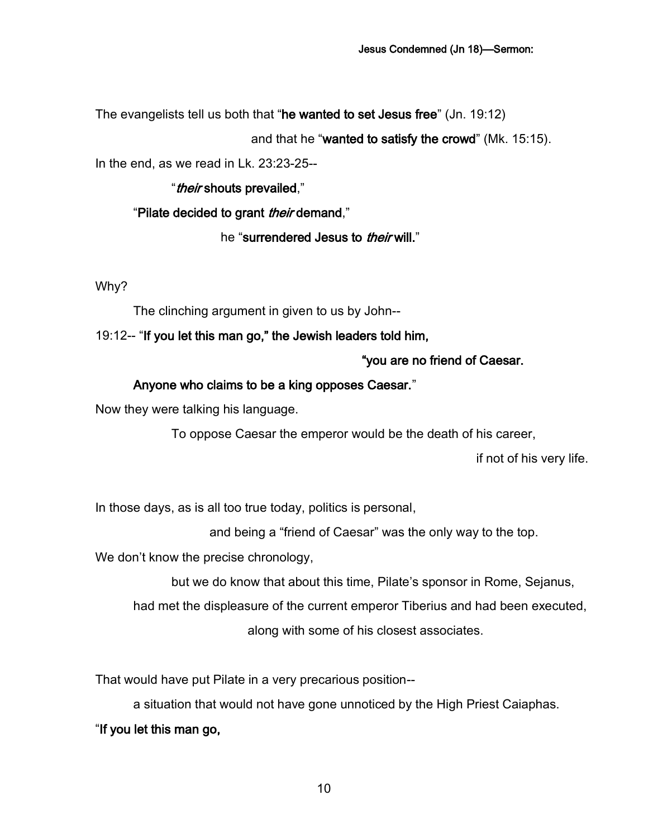The evangelists tell us both that "he wanted to set Jesus free" (Jn. 19:12)

and that he "wanted to satisfy the crowd" (Mk. 15:15).

In the end, as we read in Lk. 23:23-25--

"*their* shouts prevailed,"

"Pilate decided to grant *their* demand,"

he "surrendered Jesus to *their* will."

Why?

The clinching argument in given to us by John--

19:12-- "If you let this man go," the Jewish leaders told him,

"you are no friend of Caesar.

#### Anyone who claims to be a king opposes Caesar."

Now they were talking his language.

To oppose Caesar the emperor would be the death of his career,

if not of his very life.

In those days, as is all too true today, politics is personal,

and being a "friend of Caesar" was the only way to the top.

We don't know the precise chronology,

but we do know that about this time, Pilate's sponsor in Rome, Sejanus,

had met the displeasure of the current emperor Tiberius and had been executed,

along with some of his closest associates.

That would have put Pilate in a very precarious position--

a situation that would not have gone unnoticed by the High Priest Caiaphas.

#### "If you let this man go,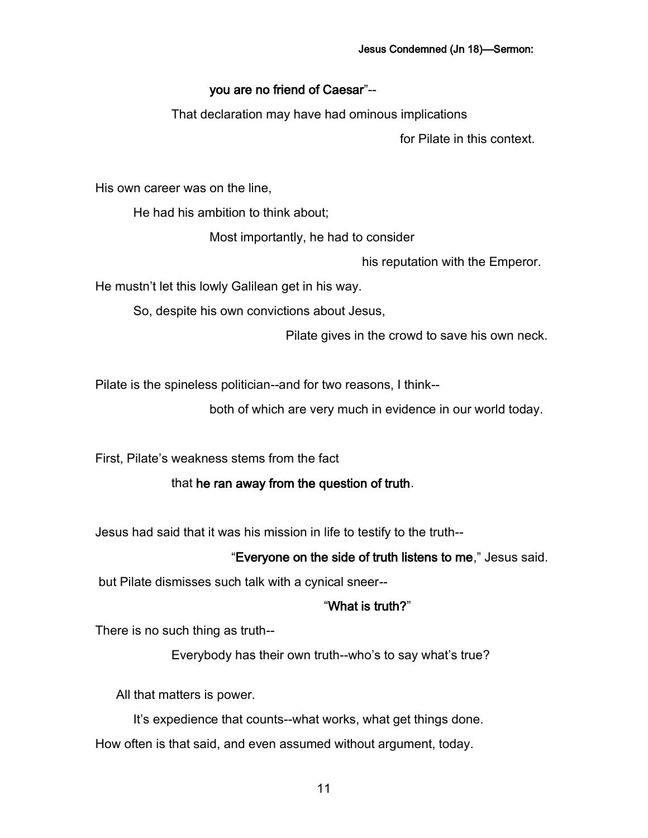### you are no friend of Caesar"--

That declaration may have had ominous implications

for Pilate in this context.

His own career was on the line,

He had his ambition to think about;

Most importantly, he had to consider

his reputation with the Emperor.

He mustn't let this lowly Galilean get in his way.

So, despite his own convictions about Jesus,

Pilate gives in the crowd to save his own neck.

Pilate is the spineless politician--and for two reasons, I think--

both of which are very much in evidence in our world today.

First, Pilate's weakness stems from the fact

### that he ran away from the question of truth.

Jesus had said that it was his mission in life to testify to the truth--

### "Everyone on the side of truth listens to me," Jesus said.

but Pilate dismisses such talk with a cynical sneer--

### "What is truth?"

There is no such thing as truth--

Everybody has their own truth--who's to say what's true?

All that matters is power.

It's expedience that counts--what works, what get things done.

How often is that said, and even assumed without argument, today.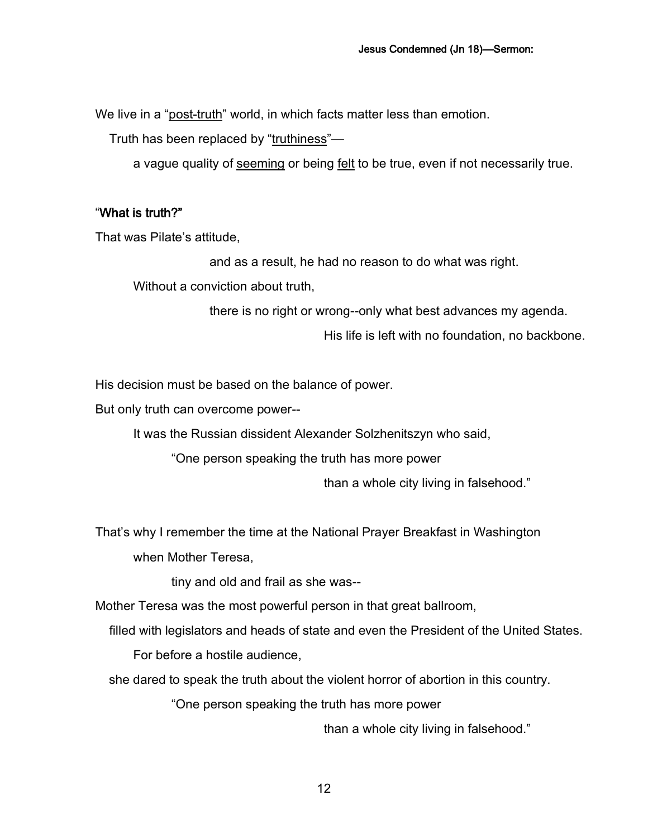We live in a "post-truth" world, in which facts matter less than emotion.

Truth has been replaced by "truthiness"—

a vague quality of seeming or being felt to be true, even if not necessarily true.

#### "What is truth?"

That was Pilate's attitude,

and as a result, he had no reason to do what was right.

Without a conviction about truth.

there is no right or wrong--only what best advances my agenda.

His life is left with no foundation, no backbone.

His decision must be based on the balance of power.

But only truth can overcome power--

It was the Russian dissident Alexander Solzhenitszyn who said,

"One person speaking the truth has more power

than a whole city living in falsehood."

That's why I remember the time at the National Prayer Breakfast in Washington

when Mother Teresa,

tiny and old and frail as she was--

Mother Teresa was the most powerful person in that great ballroom,

filled with legislators and heads of state and even the President of the United States.

For before a hostile audience,

she dared to speak the truth about the violent horror of abortion in this country.

"One person speaking the truth has more power

than a whole city living in falsehood."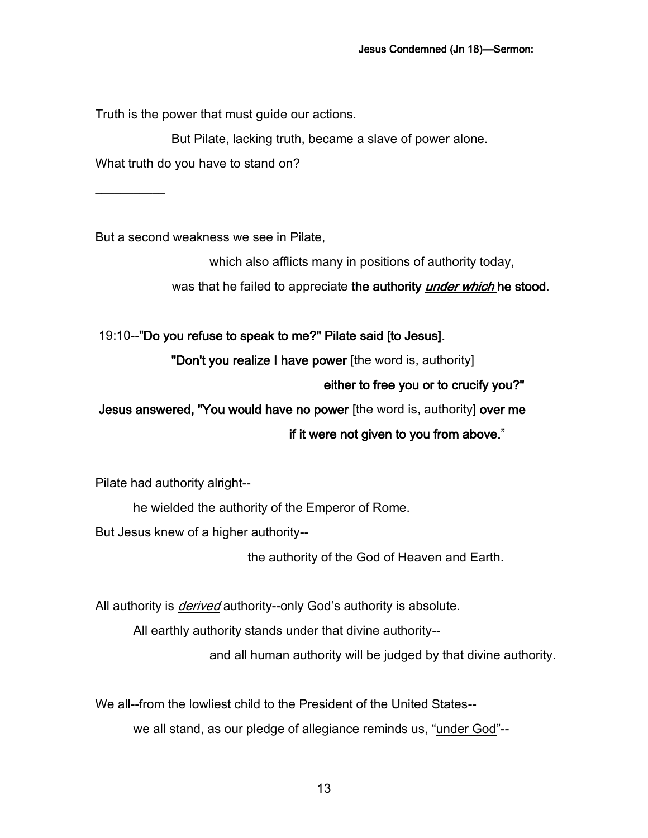Truth is the power that must guide our actions.

But Pilate, lacking truth, became a slave of power alone.

What truth do you have to stand on?

 $\frac{1}{2}$ 

But a second weakness we see in Pilate,

which also afflicts many in positions of authority today,

was that he failed to appreciate the authority *under which* he stood.

#### 19:10--"Do you refuse to speak to me?" Pilate said [to Jesus].

"Don't you realize I have power [the word is, authority]

### either to free you or to crucify you?"

 Jesus answered, "You would have no power [the word is, authority] over me if it were not given to you from above."

Pilate had authority alright--

he wielded the authority of the Emperor of Rome.

But Jesus knew of a higher authority--

the authority of the God of Heaven and Earth.

All authority is *derived* authority--only God's authority is absolute.

All earthly authority stands under that divine authority--

and all human authority will be judged by that divine authority.

We all--from the lowliest child to the President of the United States--

we all stand, as our pledge of allegiance reminds us, "under God"--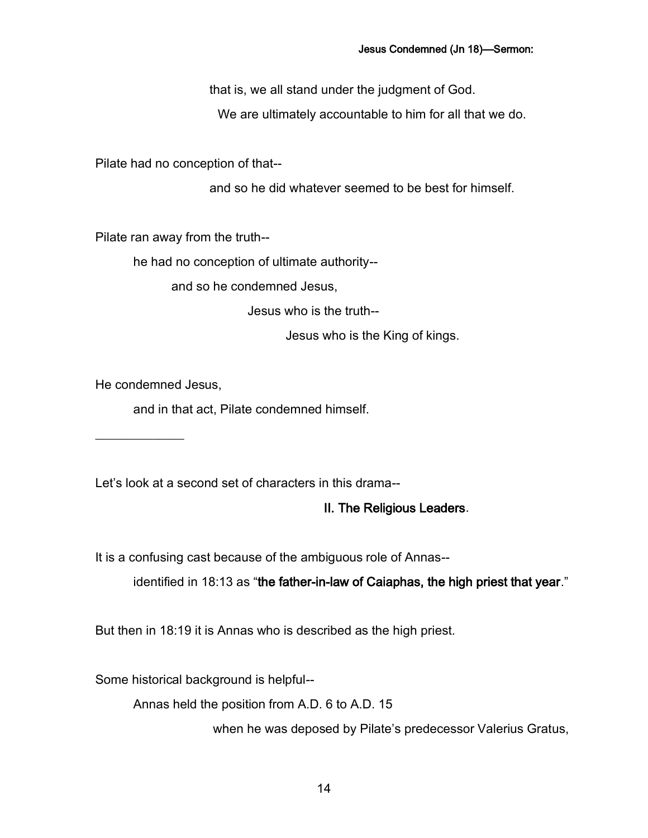that is, we all stand under the judgment of God.

We are ultimately accountable to him for all that we do.

Pilate had no conception of that--

and so he did whatever seemed to be best for himself.

Pilate ran away from the truth--

he had no conception of ultimate authority--

and so he condemned Jesus,

Jesus who is the truth--

Jesus who is the King of kings.

He condemned Jesus,

and in that act, Pilate condemned himself.

 $\overline{\phantom{a}}$ 

Let's look at a second set of characters in this drama--

### II. The Religious Leaders.

It is a confusing cast because of the ambiguous role of Annas--

identified in 18:13 as "the father-in-law of Caiaphas, the high priest that year."

But then in 18:19 it is Annas who is described as the high priest.

Some historical background is helpful--

Annas held the position from A.D. 6 to A.D. 15

when he was deposed by Pilate's predecessor Valerius Gratus,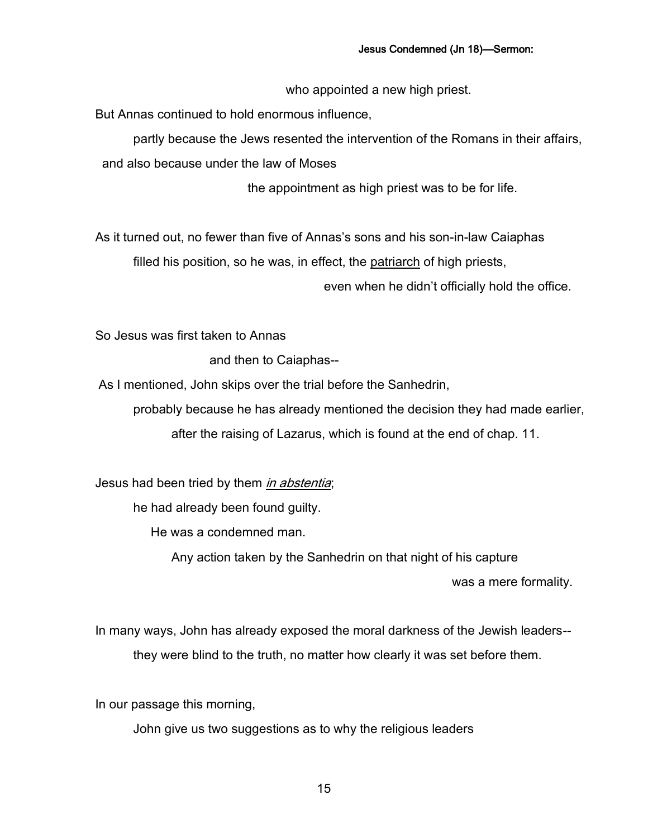who appointed a new high priest.

But Annas continued to hold enormous influence,

partly because the Jews resented the intervention of the Romans in their affairs, and also because under the law of Moses

the appointment as high priest was to be for life.

As it turned out, no fewer than five of Annas's sons and his son-in-law Caiaphas filled his position, so he was, in effect, the patriarch of high priests,

even when he didn't officially hold the office.

So Jesus was first taken to Annas

and then to Caiaphas--

As I mentioned, John skips over the trial before the Sanhedrin,

probably because he has already mentioned the decision they had made earlier, after the raising of Lazarus, which is found at the end of chap. 11.

Jesus had been tried by them in abstentia;

he had already been found guilty.

He was a condemned man.

Any action taken by the Sanhedrin on that night of his capture

was a mere formality.

In many ways, John has already exposed the moral darkness of the Jewish leaders- they were blind to the truth, no matter how clearly it was set before them.

In our passage this morning,

John give us two suggestions as to why the religious leaders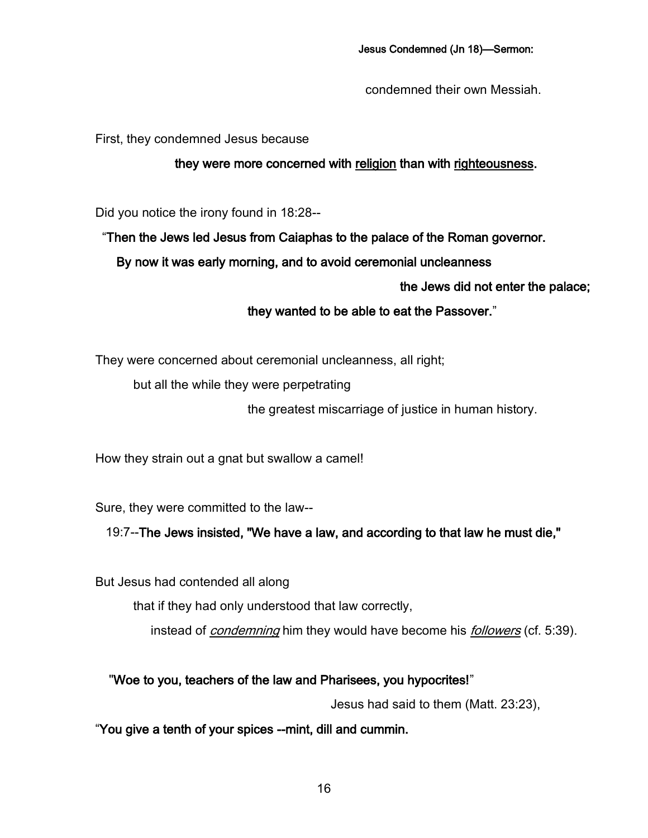condemned their own Messiah.

First, they condemned Jesus because

#### they were more concerned with religion than with righteousness.

Did you notice the irony found in 18:28--

### "Then the Jews led Jesus from Caiaphas to the palace of the Roman governor.

By now it was early morning, and to avoid ceremonial uncleanness

the Jews did not enter the palace;

### they wanted to be able to eat the Passover."

They were concerned about ceremonial uncleanness, all right;

but all the while they were perpetrating

the greatest miscarriage of justice in human history.

How they strain out a gnat but swallow a camel!

Sure, they were committed to the law--

19:7--The Jews insisted, "We have a law, and according to that law he must die,"

But Jesus had contended all along

that if they had only understood that law correctly,

instead of *condemning* him they would have become his *followers* (cf. 5:39).

### "Woe to you, teachers of the law and Pharisees, you hypocrites!"

Jesus had said to them (Matt. 23:23),

"You give a tenth of your spices --mint, dill and cummin.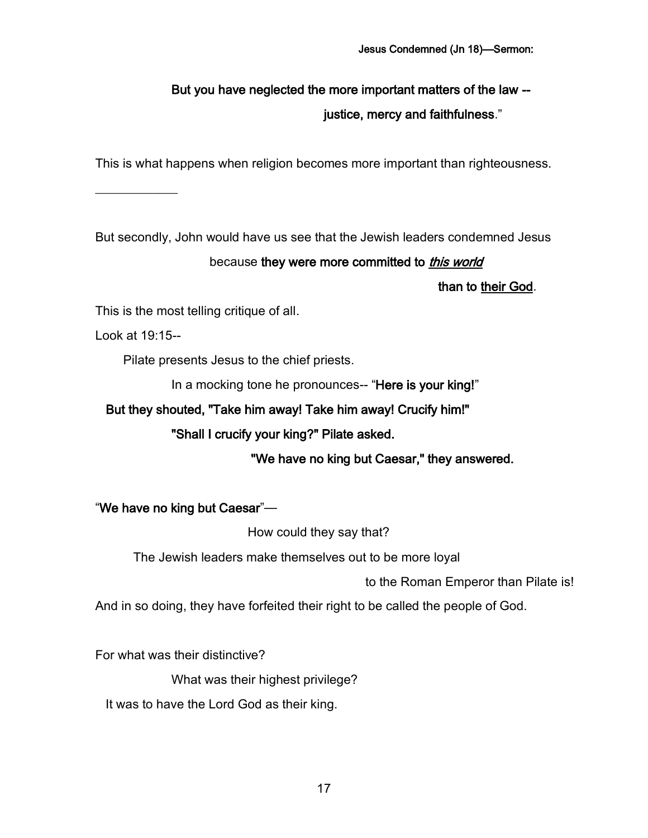# But you have neglected the more important matters of the law - justice, mercy and faithfulness."

This is what happens when religion becomes more important than righteousness.

But secondly, John would have us see that the Jewish leaders condemned Jesus because they were more committed to this world

than to their God.

This is the most telling critique of all.

Look at 19:15--

 $\frac{1}{2}$ 

Pilate presents Jesus to the chief priests.

In a mocking tone he pronounces-- "Here is your king!"

But they shouted, "Take him away! Take him away! Crucify him!"

"Shall I crucify your king?" Pilate asked.

"We have no king but Caesar," they answered.

"We have no king but Caesar"—

How could they say that?

The Jewish leaders make themselves out to be more loyal

to the Roman Emperor than Pilate is!

And in so doing, they have forfeited their right to be called the people of God.

For what was their distinctive?

What was their highest privilege?

It was to have the Lord God as their king.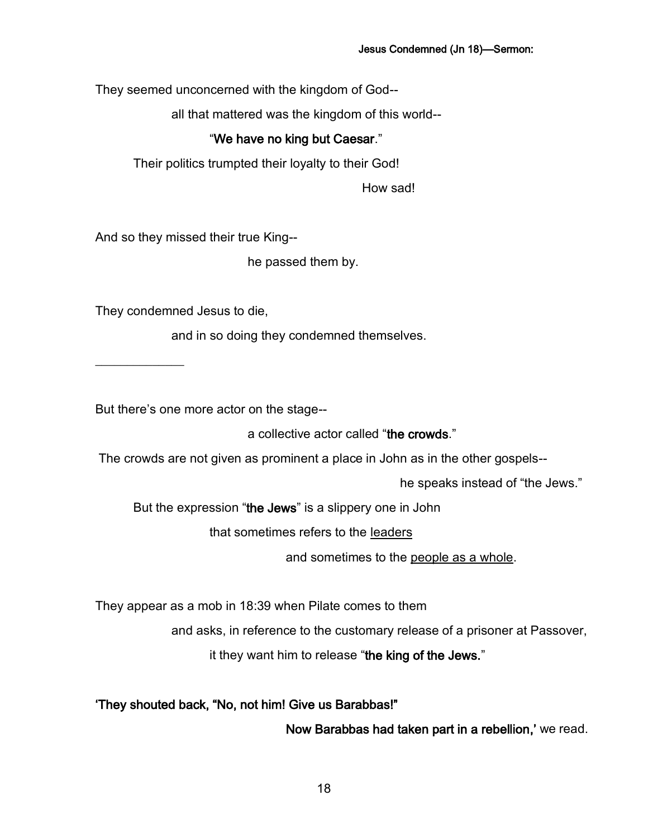They seemed unconcerned with the kingdom of God--

all that mattered was the kingdom of this world--

### "We have no king but Caesar."

Their politics trumpted their loyalty to their God!

How sad!

And so they missed their true King--

he passed them by.

They condemned Jesus to die,

 $\overline{\phantom{a}}$ 

and in so doing they condemned themselves.

But there's one more actor on the stage--

a collective actor called "the crowds."

The crowds are not given as prominent a place in John as in the other gospels--

he speaks instead of "the Jews."

But the expression "the Jews" is a slippery one in John

that sometimes refers to the leaders

and sometimes to the people as a whole.

They appear as a mob in 18:39 when Pilate comes to them

and asks, in reference to the customary release of a prisoner at Passover,

it they want him to release "the king of the Jews."

'They shouted back, "No, not him! Give us Barabbas!"

Now Barabbas had taken part in a rebellion,' we read.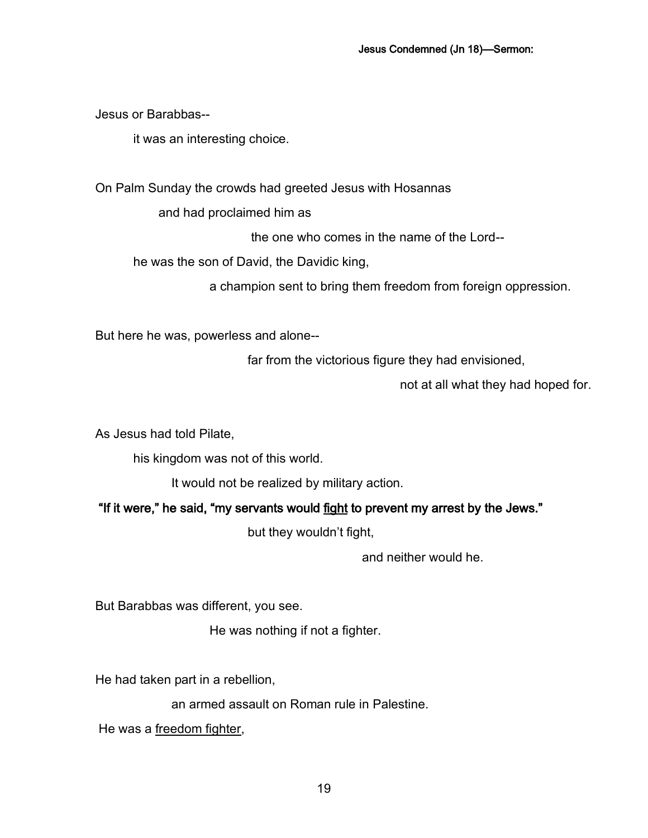Jesus or Barabbas--

it was an interesting choice.

On Palm Sunday the crowds had greeted Jesus with Hosannas

and had proclaimed him as

the one who comes in the name of the Lord--

he was the son of David, the Davidic king,

a champion sent to bring them freedom from foreign oppression.

But here he was, powerless and alone--

far from the victorious figure they had envisioned,

not at all what they had hoped for.

As Jesus had told Pilate,

his kingdom was not of this world.

It would not be realized by military action.

"If it were," he said, "my servants would fight to prevent my arrest by the Jews."

but they wouldn't fight,

and neither would he.

But Barabbas was different, you see.

He was nothing if not a fighter.

He had taken part in a rebellion,

an armed assault on Roman rule in Palestine.

He was a freedom fighter,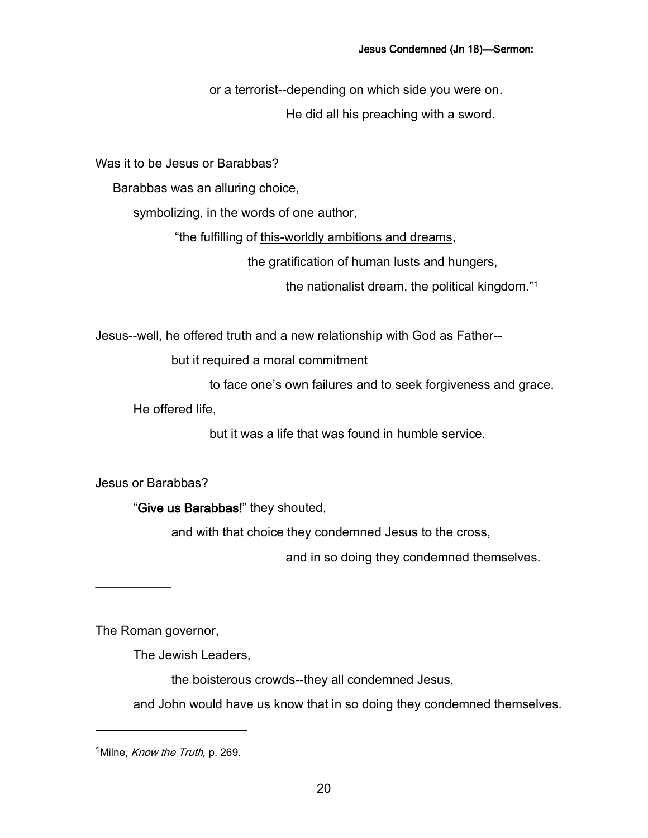or a terrorist--depending on which side you were on.

He did all his preaching with a sword.

Was it to be Jesus or Barabbas?

Barabbas was an alluring choice,

symbolizing, in the words of one author,

"the fulfilling of this-worldly ambitions and dreams,

the gratification of human lusts and hungers,

the nationalist dream, the political kingdom."<sup>1</sup>

Jesus--well, he offered truth and a new relationship with God as Father--

but it required a moral commitment

to face one's own failures and to seek forgiveness and grace.

He offered life,

but it was a life that was found in humble service.

Jesus or Barabbas?

"Give us Barabbas!" they shouted,

and with that choice they condemned Jesus to the cross,

and in so doing they condemned themselves.

The Roman governor,

 $\overline{\phantom{a}}$  , where  $\overline{\phantom{a}}$ 

The Jewish Leaders,

the boisterous crowds--they all condemned Jesus,

and John would have us know that in so doing they condemned themselves.

<sup>&</sup>lt;sup>1</sup>Milne, *Know the Truth*, p. 269.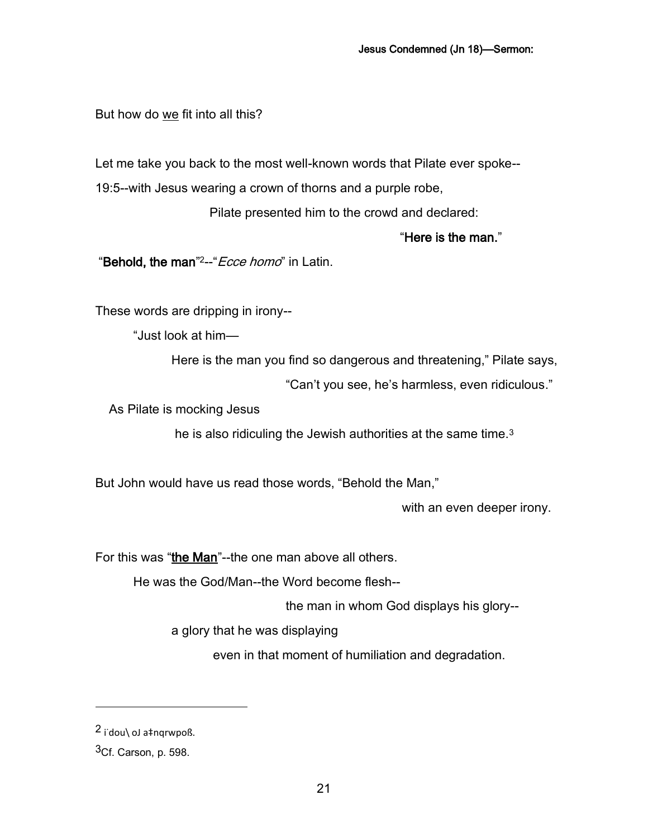But how do we fit into all this?

Let me take you back to the most well-known words that Pilate ever spoke--

19:5--with Jesus wearing a crown of thorns and a purple robe,

Pilate presented him to the crowd and declared:

"Here is the man."

"Behold, the man"<sup>2</sup>--" Ecce homo" in Latin.

These words are dripping in irony--

"Just look at him—

Here is the man you find so dangerous and threatening," Pilate says,

"Can't you see, he's harmless, even ridiculous."

As Pilate is mocking Jesus

he is also ridiculing the Jewish authorities at the same time.<sup>3</sup>

But John would have us read those words, "Behold the Man,"

with an even deeper irony.

For this was "the Man"--the one man above all others.

He was the God/Man--the Word become flesh--

the man in whom God displays his glory--

a glory that he was displaying

even in that moment of humiliation and degradation.

<sup>2</sup> i˙dou\ oJ a‡nqrwpoß.

<sup>3</sup>Cf. Carson, p. 598.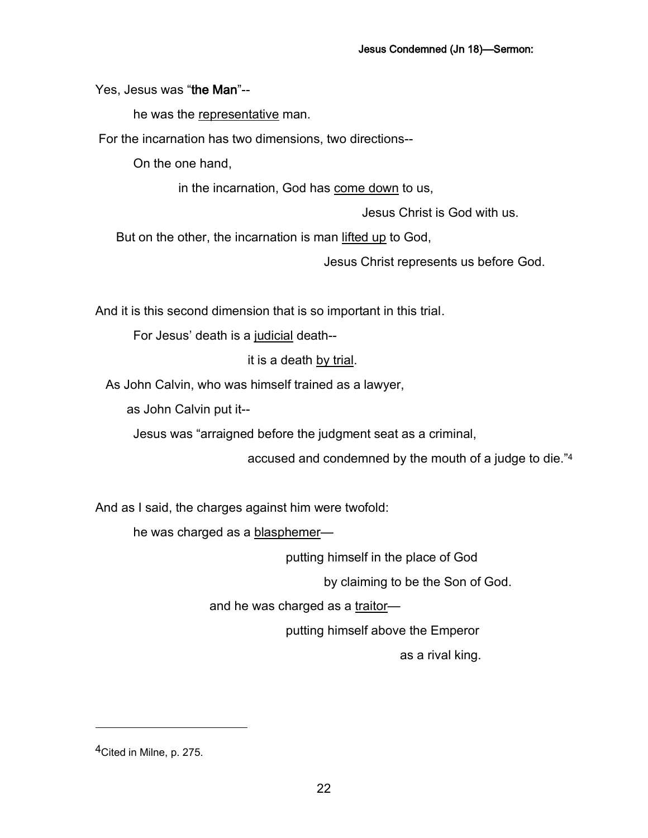Yes, Jesus was "the Man"--

he was the representative man.

For the incarnation has two dimensions, two directions--

On the one hand,

in the incarnation, God has come down to us,

Jesus Christ is God with us.

But on the other, the incarnation is man lifted up to God,

Jesus Christ represents us before God.

And it is this second dimension that is so important in this trial.

For Jesus' death is a judicial death--

it is a death by trial.

As John Calvin, who was himself trained as a lawyer,

as John Calvin put it--

Jesus was "arraigned before the judgment seat as a criminal,

accused and condemned by the mouth of a judge to die."<sup>4</sup>

And as I said, the charges against him were twofold:

he was charged as a blasphemer-

putting himself in the place of God

by claiming to be the Son of God.

and he was charged as a traitor—

putting himself above the Emperor

as a rival king.

<sup>4</sup>Cited in Milne, p. 275.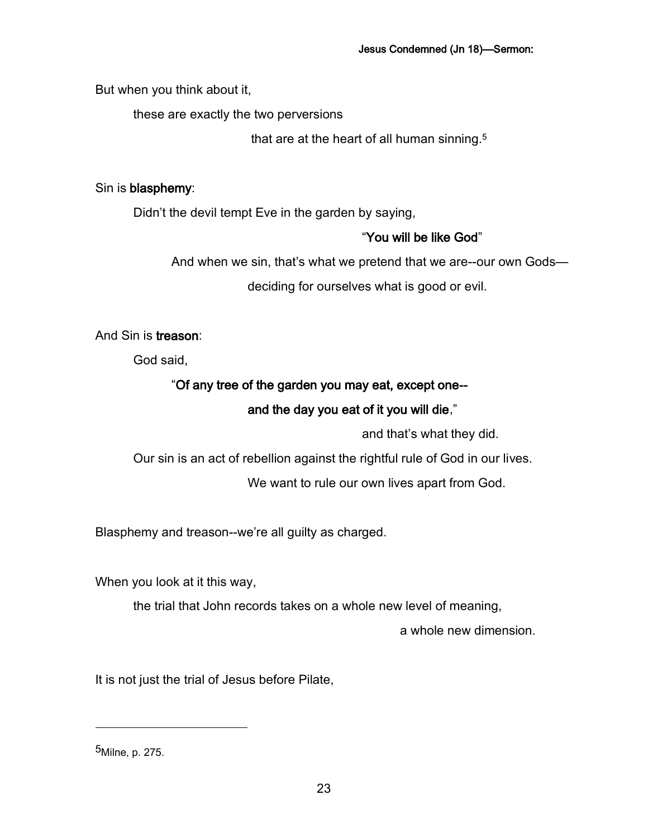But when you think about it,

these are exactly the two perversions

that are at the heart of all human sinning.<sup>5</sup>

Sin is blasphemy:

Didn't the devil tempt Eve in the garden by saying,

### "You will be like God"

And when we sin, that's what we pretend that we are--our own Gods—

deciding for ourselves what is good or evil.

And Sin is treason:

God said,

### "Of any tree of the garden you may eat, except one--

### and the day you eat of it you will die,"

and that's what they did.

Our sin is an act of rebellion against the rightful rule of God in our lives.

We want to rule our own lives apart from God.

Blasphemy and treason--we're all guilty as charged.

When you look at it this way,

the trial that John records takes on a whole new level of meaning,

a whole new dimension.

It is not just the trial of Jesus before Pilate,

5Milne, p. 275.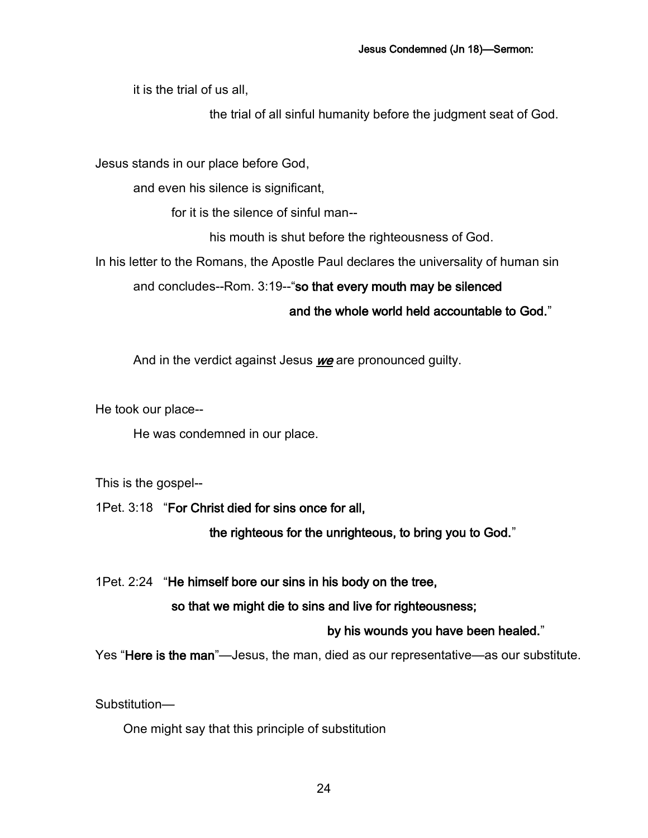it is the trial of us all,

the trial of all sinful humanity before the judgment seat of God.

Jesus stands in our place before God,

and even his silence is significant,

for it is the silence of sinful man--

his mouth is shut before the righteousness of God.

In his letter to the Romans, the Apostle Paul declares the universality of human sin

and concludes--Rom. 3:19--"so that every mouth may be silenced

and the whole world held accountable to God."

And in the verdict against Jesus we are pronounced guilty.

He took our place--

He was condemned in our place.

This is the gospel--

1Pet. 3:18 "For Christ died for sins once for all,

the righteous for the unrighteous, to bring you to God."

1Pet. 2:24 "He himself bore our sins in his body on the tree,

so that we might die to sins and live for righteousness;

#### by his wounds you have been healed."

Yes "Here is the man"—Jesus, the man, died as our representative—as our substitute.

Substitution—

One might say that this principle of substitution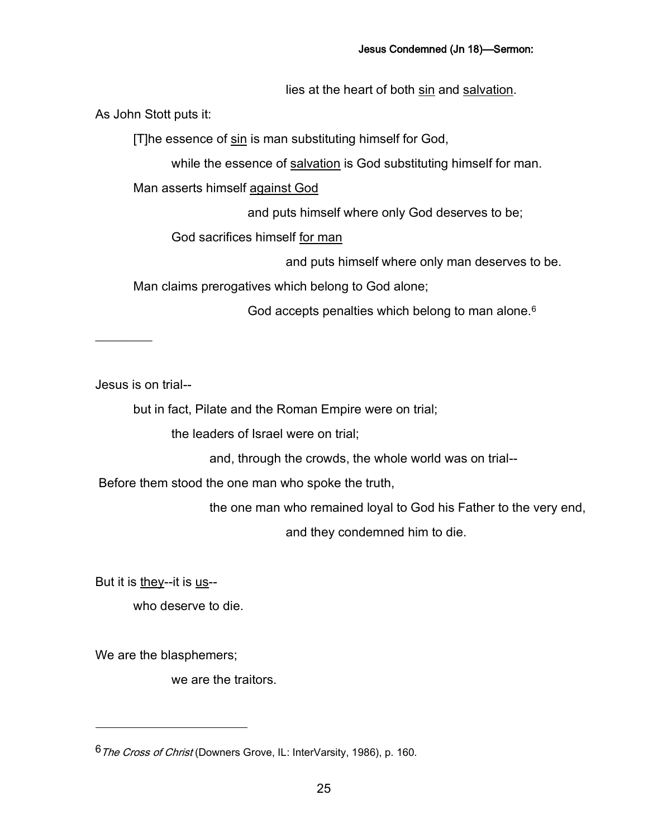lies at the heart of both sin and salvation.

As John Stott puts it:

[T]he essence of sin is man substituting himself for God,

while the essence of salvation is God substituting himself for man.

Man asserts himself against God

and puts himself where only God deserves to be;

God sacrifices himself for man

and puts himself where only man deserves to be.

Man claims prerogatives which belong to God alone;

God accepts penalties which belong to man alone.<sup>6</sup>

Jesus is on trial--

 $\overline{\phantom{a}}$ 

but in fact, Pilate and the Roman Empire were on trial;

the leaders of Israel were on trial;

and, through the crowds, the whole world was on trial--

Before them stood the one man who spoke the truth,

the one man who remained loyal to God his Father to the very end,

and they condemned him to die.

But it is they--it is us--

who deserve to die.

We are the blasphemers;

we are the traitors.

<sup>6</sup> The Cross of Christ (Downers Grove, IL: InterVarsity, 1986), p. 160.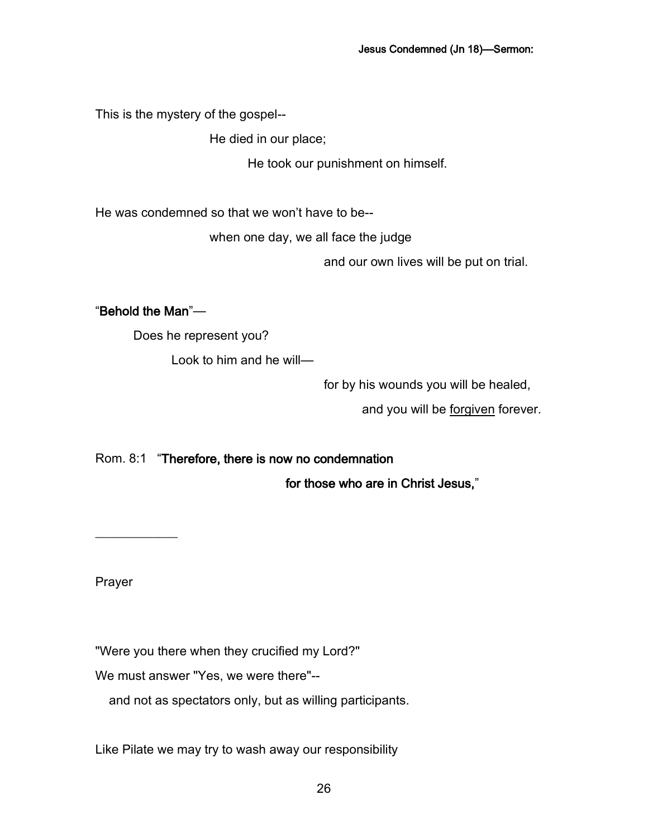This is the mystery of the gospel--

He died in our place;

He took our punishment on himself.

He was condemned so that we won't have to be--

when one day, we all face the judge

and our own lives will be put on trial.

"Behold the Man"—

Does he represent you?

Look to him and he will—

for by his wounds you will be healed,

and you will be forgiven forever.

Rom. 8:1 "Therefore, there is now no condemnation

for those who are in Christ Jesus,"

Prayer

 $\frac{1}{2}$ 

"Were you there when they crucified my Lord?"

We must answer "Yes, we were there"--

and not as spectators only, but as willing participants.

Like Pilate we may try to wash away our responsibility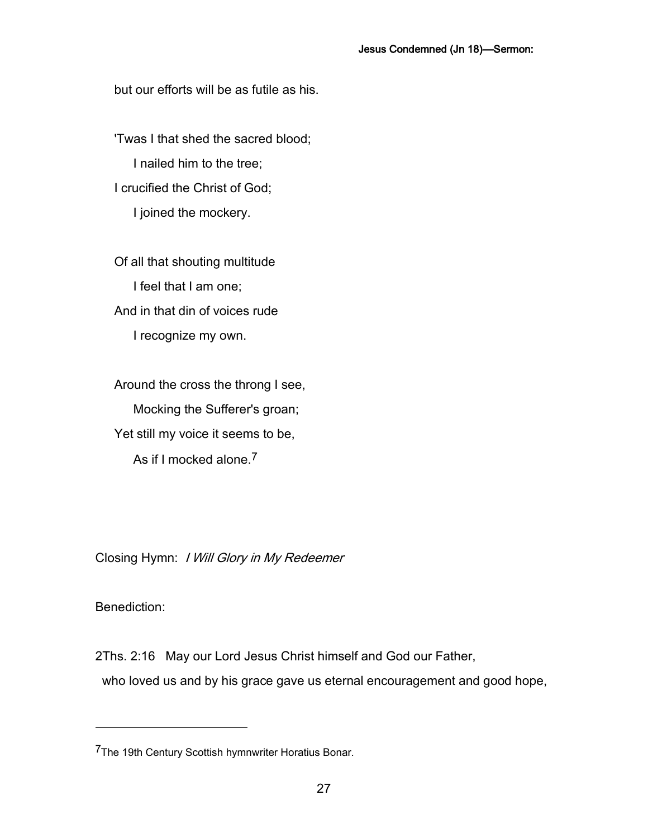but our efforts will be as futile as his.

'Twas I that shed the sacred blood; I nailed him to the tree; I crucified the Christ of God; I joined the mockery.

Of all that shouting multitude I feel that I am one; And in that din of voices rude I recognize my own.

Around the cross the throng I see, Mocking the Sufferer's groan; Yet still my voice it seems to be, As if I mocked alone.7

Closing Hymn: I Will Glory in My Redeemer

#### Benediction:

2Ths. 2:16 May our Lord Jesus Christ himself and God our Father, who loved us and by his grace gave us eternal encouragement and good hope,

<sup>7</sup>The 19th Century Scottish hymnwriter Horatius Bonar.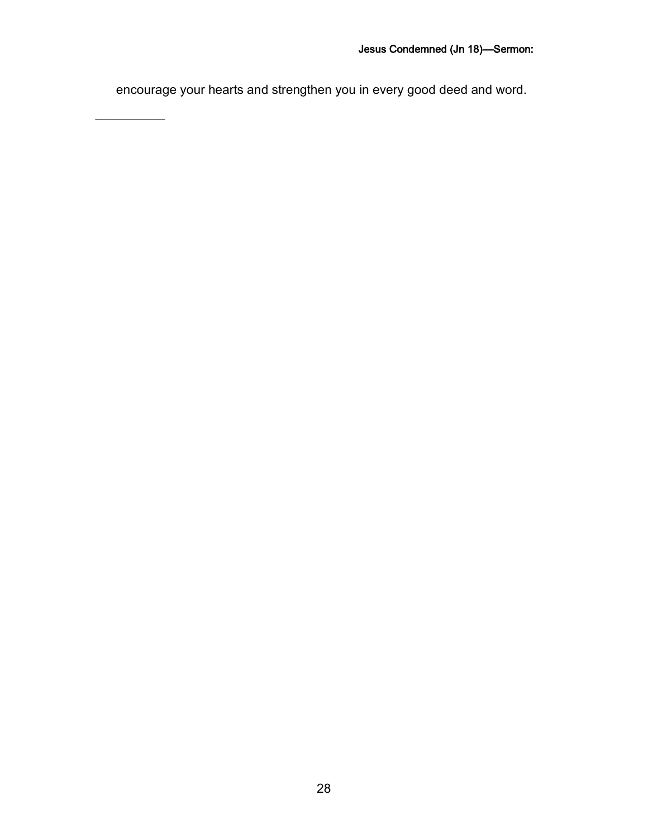encourage your hearts and strengthen you in every good deed and word.

 $\overline{\phantom{a}}$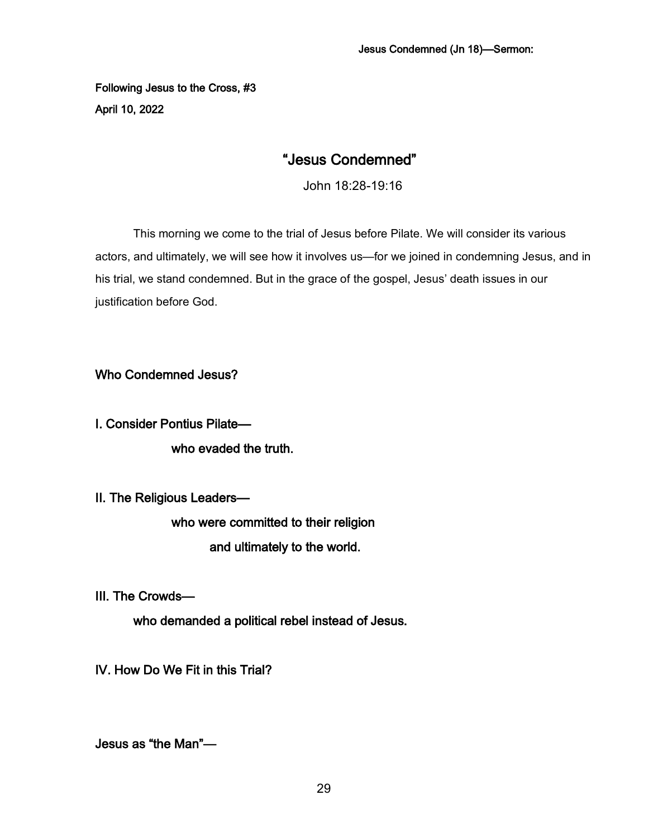Following Jesus to the Cross, #3 April 10, 2022

# "Jesus Condemned"

John 18:28-19:16

This morning we come to the trial of Jesus before Pilate. We will consider its various actors, and ultimately, we will see how it involves us—for we joined in condemning Jesus, and in his trial, we stand condemned. But in the grace of the gospel, Jesus' death issues in our justification before God.

Who Condemned Jesus?

I. Consider Pontius Pilate who evaded the truth.

II. The Religious Leaders—

 who were committed to their religion and ultimately to the world.

III. The Crowds—

who demanded a political rebel instead of Jesus.

IV. How Do We Fit in this Trial?

Jesus as "the Man"—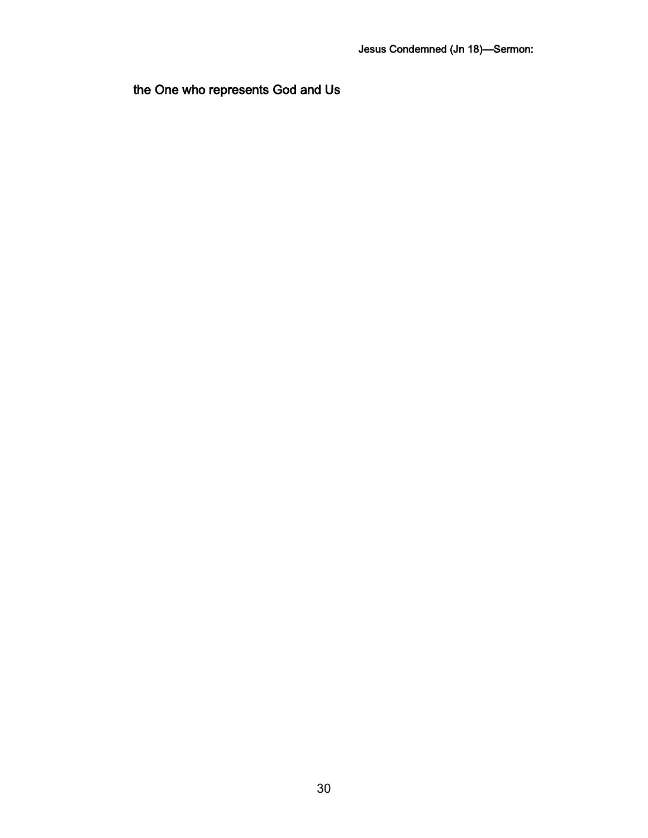the One who represents God and Us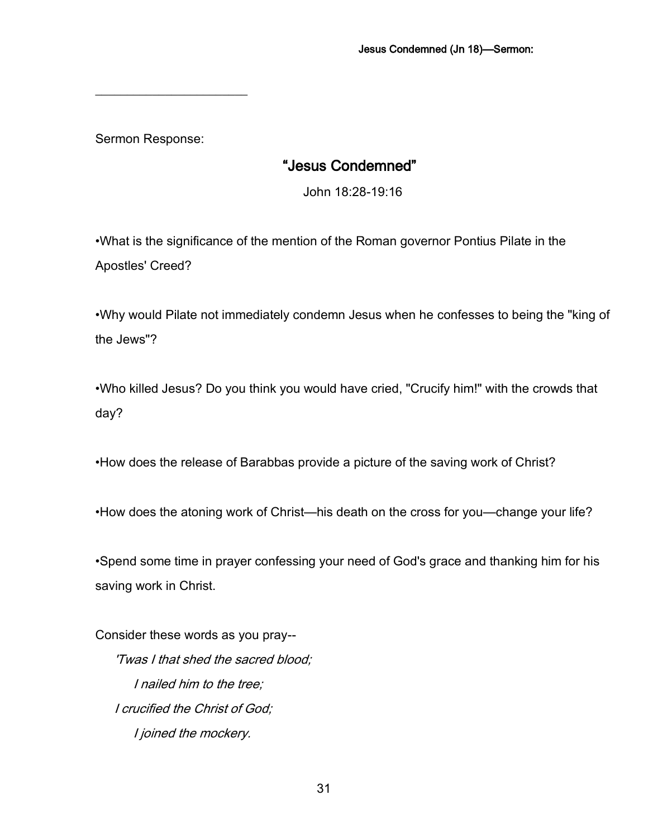Sermon Response:

 $\overline{\mathcal{L}}$  , which is a set of the set of the set of the set of the set of the set of the set of the set of the set of the set of the set of the set of the set of the set of the set of the set of the set of the set of th

# "Jesus Condemned"

John 18:28-19:16

•What is the significance of the mention of the Roman governor Pontius Pilate in the Apostles' Creed?

•Why would Pilate not immediately condemn Jesus when he confesses to being the "king of the Jews"?

•Who killed Jesus? Do you think you would have cried, "Crucify him!" with the crowds that day?

•How does the release of Barabbas provide a picture of the saving work of Christ?

•How does the atoning work of Christ—his death on the cross for you—change your life?

•Spend some time in prayer confessing your need of God's grace and thanking him for his saving work in Christ.

Consider these words as you pray-- 'Twas I that shed the sacred blood; I nailed him to the tree; I crucified the Christ of God; I joined the mockery.